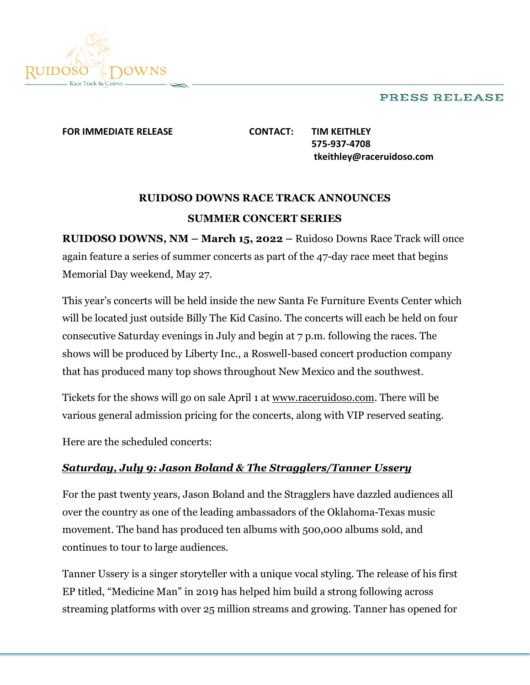### PRESS RELEASE



#### **FOR IMMEDIATE RELEASE CONTACT: TIM KEITHLEY**

**575-937-4708 tkeithley@raceruidoso.com**

# **RUIDOSO DOWNS RACE TRACK ANNOUNCES SUMMER CONCERT SERIES**

**RUIDOSO DOWNS, NM – March 15, 2022 –** Ruidoso Downs Race Track will once again feature a series of summer concerts as part of the 47-day race meet that begins Memorial Day weekend, May 27.

This year's concerts will be held inside the new Santa Fe Furniture Events Center which will be located just outside Billy The Kid Casino. The concerts will each be held on four consecutive Saturday evenings in July and begin at 7 p.m. following the races. The shows will be produced by Liberty Inc., a Roswell-based concert production company that has produced many top shows throughout New Mexico and the southwest.

Tickets for the shows will go on sale April 1 at www.raceruidoso.com. There will be various general admission pricing for the concerts, along with VIP reserved seating.

Here are the scheduled concerts:

## *Saturday, July 9: Jason Boland & The Stragglers/Tanner Ussery*

For the past twenty years, Jason Boland and the Stragglers have dazzled audiences all over the country as one of the leading ambassadors of the Oklahoma-Texas music movement. The band has produced ten albums with 500,000 albums sold, and continues to tour to large audiences.

Tanner Ussery is a singer storyteller with a unique vocal styling. The release of his first EP titled, "Medicine Man" in 2019 has helped him build a strong following across streaming platforms with over 25 million streams and growing. Tanner has opened for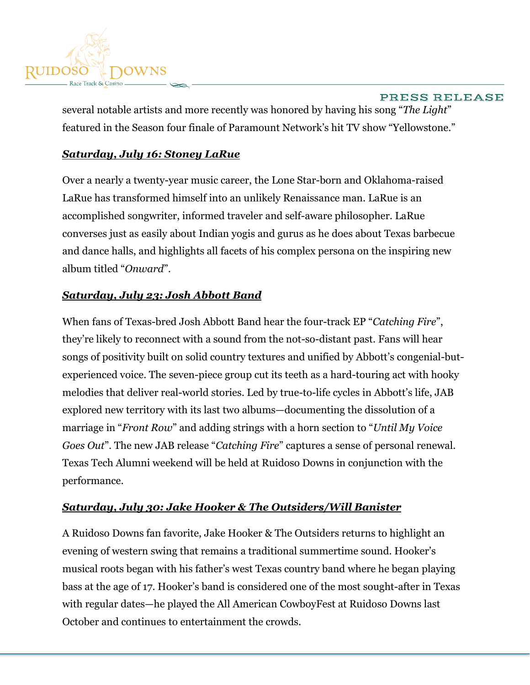

PRESS RELEASE several notable artists and more recently was honored by having his song "*The Light*" featured in the Season four finale of Paramount Network's hit TV show "Yellowstone."

## *Saturday, July 16: Stoney LaRue*

Over a nearly a twenty-year music career, the Lone Star-born and Oklahoma-raised LaRue has transformed himself into an unlikely Renaissance man. LaRue is an accomplished songwriter, informed traveler and self-aware philosopher. LaRue converses just as easily about Indian yogis and gurus as he does about Texas barbecue and dance halls, and highlights all facets of his complex persona on the inspiring new album titled "*Onward*".

## *Saturday, July 23: Josh Abbott Band*

When fans of Texas-bred Josh Abbott Band hear the four-track EP "*Catching Fire*", they're likely to reconnect with a sound from the not-so-distant past. Fans will hear songs of positivity built on solid country textures and unified by Abbott's congenial-butexperienced voice. The seven-piece group cut its teeth as a hard-touring act with hooky melodies that deliver real-world stories. Led by true-to-life cycles in Abbott's life, JAB explored new territory with its last two albums—documenting the dissolution of a marriage in "*Front Row*" and adding strings with a horn section to "*Until My Voice Goes Out*". The new JAB release "*Catching Fire*" captures a sense of personal renewal. Texas Tech Alumni weekend will be held at Ruidoso Downs in conjunction with the performance.

### *Saturday, July 30: Jake Hooker & The Outsiders/Will Banister*

A Ruidoso Downs fan favorite, Jake Hooker & The Outsiders returns to highlight an evening of western swing that remains a traditional summertime sound. Hooker's musical roots began with his father's west Texas country band where he began playing bass at the age of 17. Hooker's band is considered one of the most sought-after in Texas with regular dates—he played the All American CowboyFest at Ruidoso Downs last October and continues to entertainment the crowds.